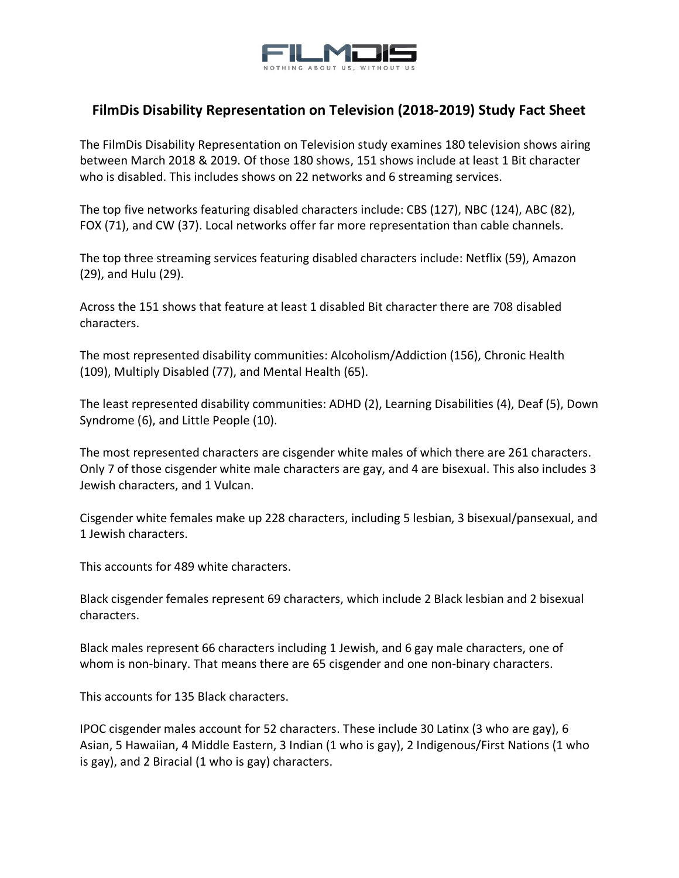

## **FilmDis Disability Representation on Television (2018-2019) Study Fact Sheet**

The FilmDis Disability Representation on Television study examines 180 television shows airing between March 2018 & 2019. Of those 180 shows, 151 shows include at least 1 Bit character who is disabled. This includes shows on 22 networks and 6 streaming services.

The top five networks featuring disabled characters include: CBS (127), NBC (124), ABC (82), FOX (71), and CW (37). Local networks offer far more representation than cable channels.

The top three streaming services featuring disabled characters include: Netflix (59), Amazon (29), and Hulu (29).

Across the 151 shows that feature at least 1 disabled Bit character there are 708 disabled characters.

The most represented disability communities: Alcoholism/Addiction (156), Chronic Health (109), Multiply Disabled (77), and Mental Health (65).

The least represented disability communities: ADHD (2), Learning Disabilities (4), Deaf (5), Down Syndrome (6), and Little People (10).

The most represented characters are cisgender white males of which there are 261 characters. Only 7 of those cisgender white male characters are gay, and 4 are bisexual. This also includes 3 Jewish characters, and 1 Vulcan.

Cisgender white females make up 228 characters, including 5 lesbian, 3 bisexual/pansexual, and 1 Jewish characters.

This accounts for 489 white characters.

Black cisgender females represent 69 characters, which include 2 Black lesbian and 2 bisexual characters.

Black males represent 66 characters including 1 Jewish, and 6 gay male characters, one of whom is non-binary. That means there are 65 cisgender and one non-binary characters.

This accounts for 135 Black characters.

IPOC cisgender males account for 52 characters. These include 30 Latinx (3 who are gay), 6 Asian, 5 Hawaiian, 4 Middle Eastern, 3 Indian (1 who is gay), 2 Indigenous/First Nations (1 who is gay), and 2 Biracial (1 who is gay) characters.